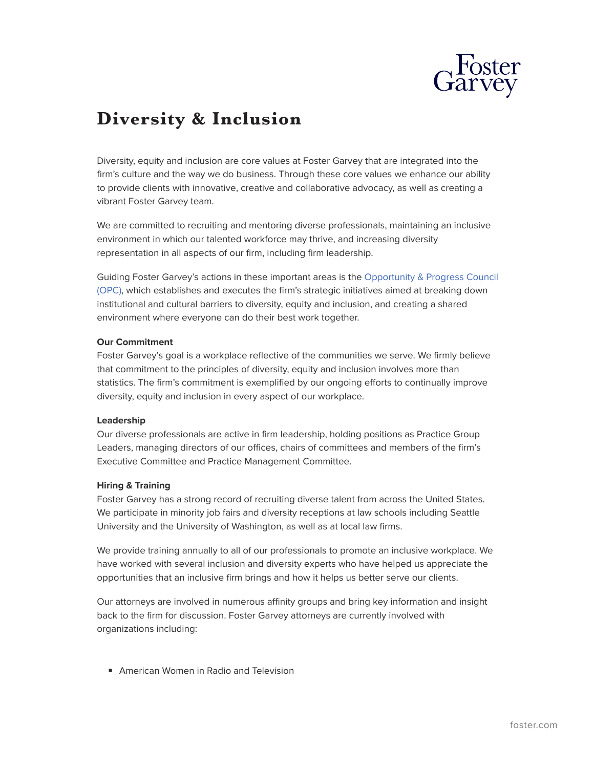

# **Diversity & Inclusion**

Diversity, equity and inclusion are core values at Foster Garvey that are integrated into the firm's culture and the way we do business. Through these core values we enhance our ability to provide clients with innovative, creative and collaborative advocacy, as well as creating a vibrant Foster Garvey team.

We are committed to recruiting and mentoring diverse professionals, maintaining an inclusive environment in which our talented workforce may thrive, and increasing diversity representation in all aspects of our firm, including firm leadership.

Guiding Foster Garvey's actions in these important areas is the [Opportunity & Progress Council](https://www.foster.com/ourfirm-diversity-opportunity) [\(OPC\)](https://www.foster.com/ourfirm-diversity-opportunity), which establishes and executes the firm's strategic initiatives aimed at breaking down institutional and cultural barriers to diversity, equity and inclusion, and creating a shared environment where everyone can do their best work together.

#### **Our Commitment**

Foster Garvey's goal is a workplace reflective of the communities we serve. We firmly believe that commitment to the principles of diversity, equity and inclusion involves more than statistics. The firm's commitment is exemplified by our ongoing efforts to continually improve diversity, equity and inclusion in every aspect of our workplace.

#### **Leadership**

Our diverse professionals are active in firm leadership, holding positions as Practice Group Leaders, managing directors of our offices, chairs of committees and members of the firm's Executive Committee and Practice Management Committee.

### **Hiring & Training**

Foster Garvey has a strong record of recruiting diverse talent from across the United States. We participate in minority job fairs and diversity receptions at law schools including Seattle University and the University of Washington, as well as at local law firms.

We provide training annually to all of our professionals to promote an inclusive workplace. We have worked with several inclusion and diversity experts who have helped us appreciate the opportunities that an inclusive firm brings and how it helps us better serve our clients.

Our attorneys are involved in numerous affinity groups and bring key information and insight back to the firm for discussion. Foster Garvey attorneys are currently involved with organizations including:

■ American Women in Radio and Television